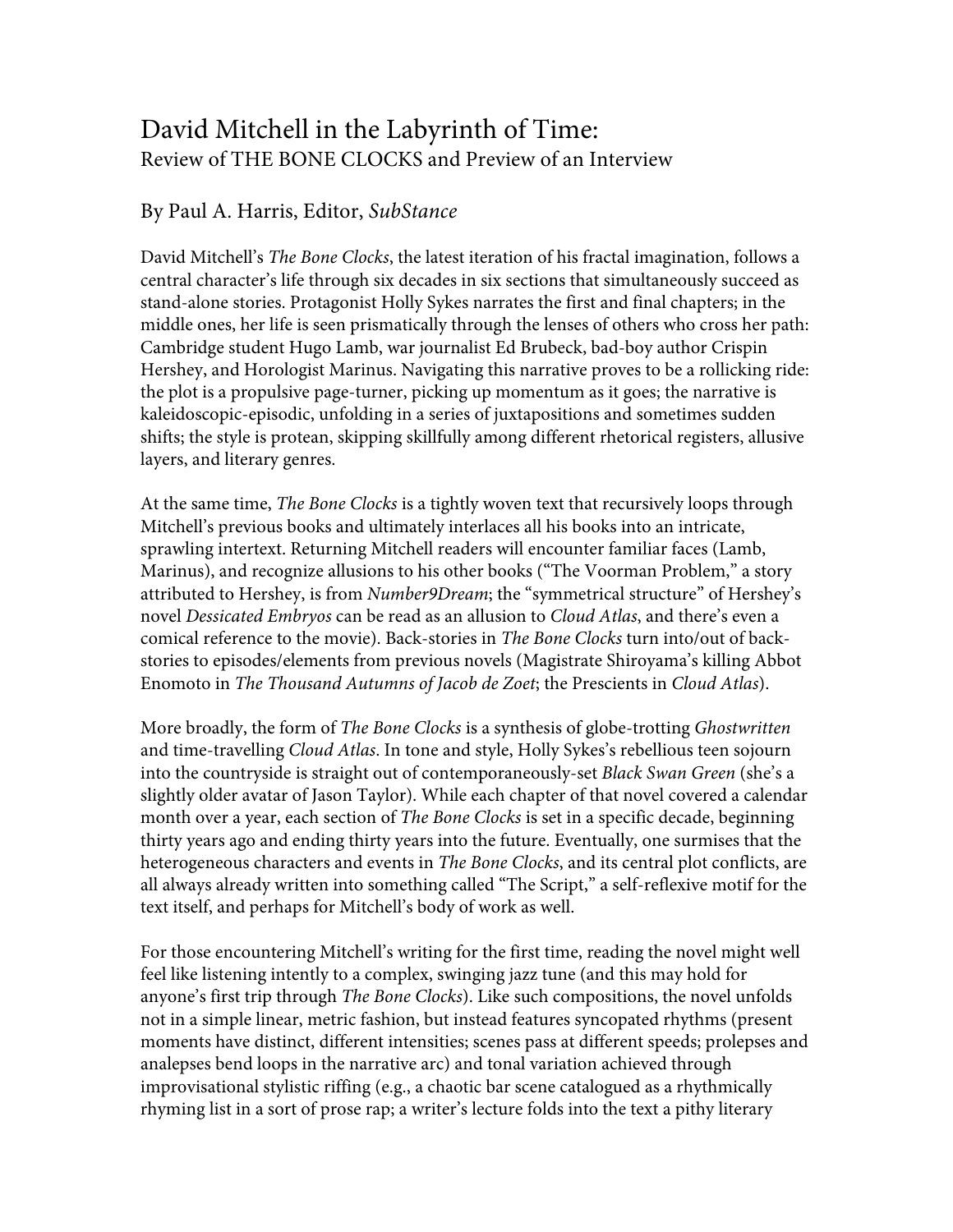# David Mitchell in the Labyrinth of Time: Review of THE BONE CLOCKS and Preview of an Interview

# By Paul A. Harris, Editor, *SubStance*

David Mitchell's *The Bone Clocks*, the latest iteration of his fractal imagination, follows a central character's life through six decades in six sections that simultaneously succeed as stand-alone stories. Protagonist Holly Sykes narrates the first and final chapters; in the middle ones, her life is seen prismatically through the lenses of others who cross her path: Cambridge student Hugo Lamb, war journalist Ed Brubeck, bad-boy author Crispin Hershey, and Horologist Marinus. Navigating this narrative proves to be a rollicking ride: the plot is a propulsive page-turner, picking up momentum as it goes; the narrative is kaleidoscopic-episodic, unfolding in a series of juxtapositions and sometimes sudden shifts; the style is protean, skipping skillfully among different rhetorical registers, allusive layers, and literary genres.

At the same time, *The Bone Clocks* is a tightly woven text that recursively loops through Mitchell's previous books and ultimately interlaces all his books into an intricate, sprawling intertext. Returning Mitchell readers will encounter familiar faces (Lamb, Marinus), and recognize allusions to his other books ("The Voorman Problem," a story attributed to Hershey, is from *Number9Dream*; the "symmetrical structure" of Hershey's novel *Dessicated Embryos* can be read as an allusion to *Cloud Atlas*, and there's even a comical reference to the movie). Back-stories in *The Bone Clocks* turn into/out of backstories to episodes/elements from previous novels (Magistrate Shiroyama's killing Abbot Enomoto in *The Thousand Autumns of Jacob de Zoet*; the Prescients in *Cloud Atlas*).

More broadly, the form of *The Bone Clocks* is a synthesis of globe-trotting *Ghostwritten* and time-travelling *Cloud Atlas*. In tone and style, Holly Sykes's rebellious teen sojourn into the countryside is straight out of contemporaneously-set *Black Swan Green* (she's a slightly older avatar of Jason Taylor). While each chapter of that novel covered a calendar month over a year, each section of *The Bone Clocks* is set in a specific decade, beginning thirty years ago and ending thirty years into the future. Eventually, one surmises that the heterogeneous characters and events in *The Bone Clocks*, and its central plot conflicts, are all always already written into something called "The Script," a self-reflexive motif for the text itself, and perhaps for Mitchell's body of work as well.

For those encountering Mitchell's writing for the first time, reading the novel might well feel like listening intently to a complex, swinging jazz tune (and this may hold for anyone's first trip through *The Bone Clocks*). Like such compositions, the novel unfolds not in a simple linear, metric fashion, but instead features syncopated rhythms (present moments have distinct, different intensities; scenes pass at different speeds; prolepses and analepses bend loops in the narrative arc) and tonal variation achieved through improvisational stylistic riffing (e.g., a chaotic bar scene catalogued as a rhythmically rhyming list in a sort of prose rap; a writer's lecture folds into the text a pithy literary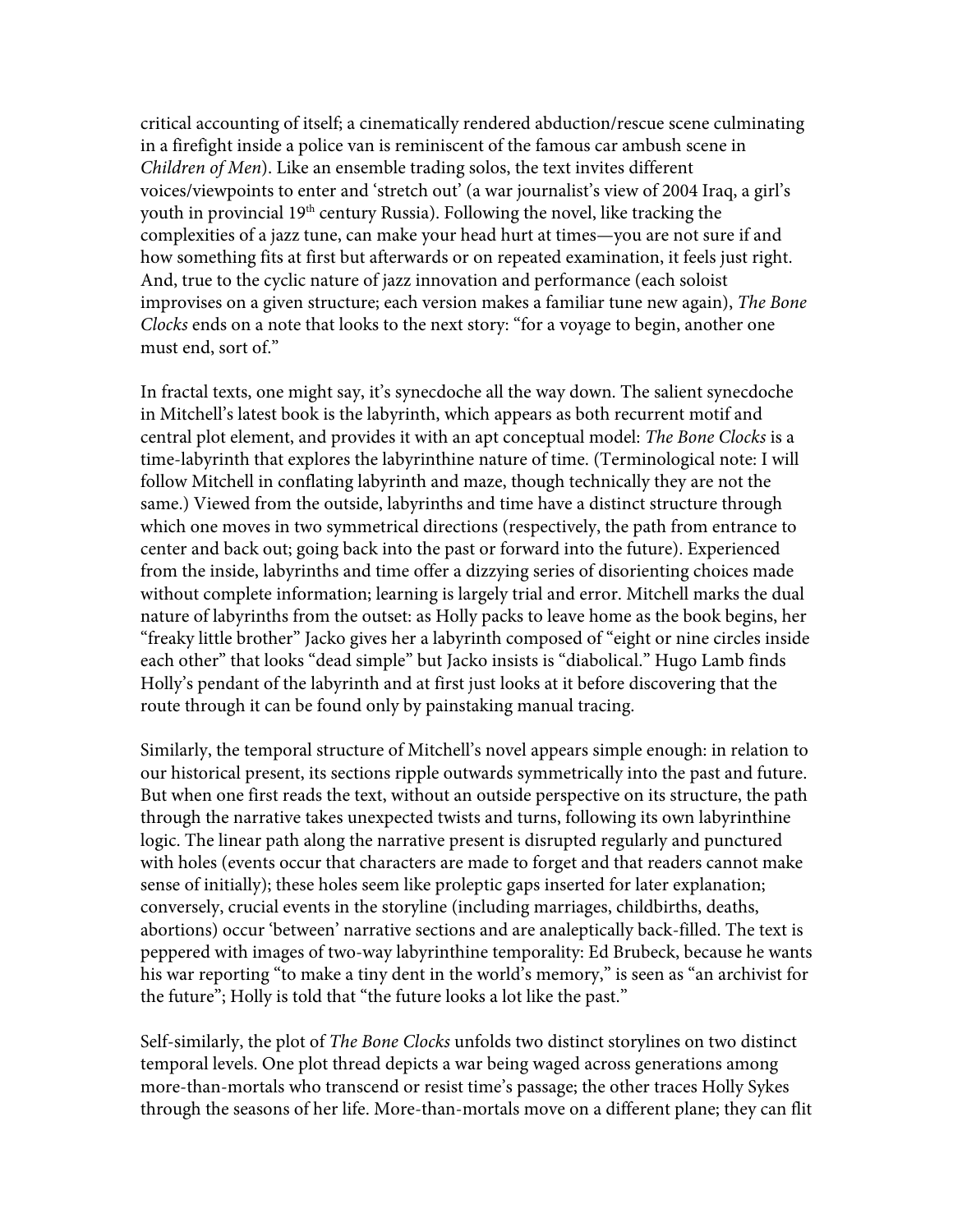critical accounting of itself; a cinematically rendered abduction/rescue scene culminating in a firefight inside a police van is reminiscent of the famous car ambush scene in *Children of Men*). Like an ensemble trading solos, the text invites different voices/viewpoints to enter and 'stretch out' (a war journalist's view of 2004 Iraq, a girl's youth in provincial 19<sup>th</sup> century Russia). Following the novel, like tracking the complexities of a jazz tune, can make your head hurt at times—you are not sure if and how something fits at first but afterwards or on repeated examination, it feels just right. And, true to the cyclic nature of jazz innovation and performance (each soloist improvises on a given structure; each version makes a familiar tune new again), *The Bone Clocks* ends on a note that looks to the next story: "for a voyage to begin, another one must end, sort of."

In fractal texts, one might say, it's synecdoche all the way down. The salient synecdoche in Mitchell's latest book is the labyrinth, which appears as both recurrent motif and central plot element, and provides it with an apt conceptual model: *The Bone Clocks* is a time-labyrinth that explores the labyrinthine nature of time. (Terminological note: I will follow Mitchell in conflating labyrinth and maze, though technically they are not the same.) Viewed from the outside, labyrinths and time have a distinct structure through which one moves in two symmetrical directions (respectively, the path from entrance to center and back out; going back into the past or forward into the future). Experienced from the inside, labyrinths and time offer a dizzying series of disorienting choices made without complete information; learning is largely trial and error. Mitchell marks the dual nature of labyrinths from the outset: as Holly packs to leave home as the book begins, her "freaky little brother" Jacko gives her a labyrinth composed of "eight or nine circles inside each other" that looks "dead simple" but Jacko insists is "diabolical." Hugo Lamb finds Holly's pendant of the labyrinth and at first just looks at it before discovering that the route through it can be found only by painstaking manual tracing.

Similarly, the temporal structure of Mitchell's novel appears simple enough: in relation to our historical present, its sections ripple outwards symmetrically into the past and future. But when one first reads the text, without an outside perspective on its structure, the path through the narrative takes unexpected twists and turns, following its own labyrinthine logic. The linear path along the narrative present is disrupted regularly and punctured with holes (events occur that characters are made to forget and that readers cannot make sense of initially); these holes seem like proleptic gaps inserted for later explanation; conversely, crucial events in the storyline (including marriages, childbirths, deaths, abortions) occur 'between' narrative sections and are analeptically back-filled. The text is peppered with images of two-way labyrinthine temporality: Ed Brubeck, because he wants his war reporting "to make a tiny dent in the world's memory," is seen as "an archivist for the future"; Holly is told that "the future looks a lot like the past."

Self-similarly, the plot of *The Bone Clocks* unfolds two distinct storylines on two distinct temporal levels. One plot thread depicts a war being waged across generations among more-than-mortals who transcend or resist time's passage; the other traces Holly Sykes through the seasons of her life. More-than-mortals move on a different plane; they can flit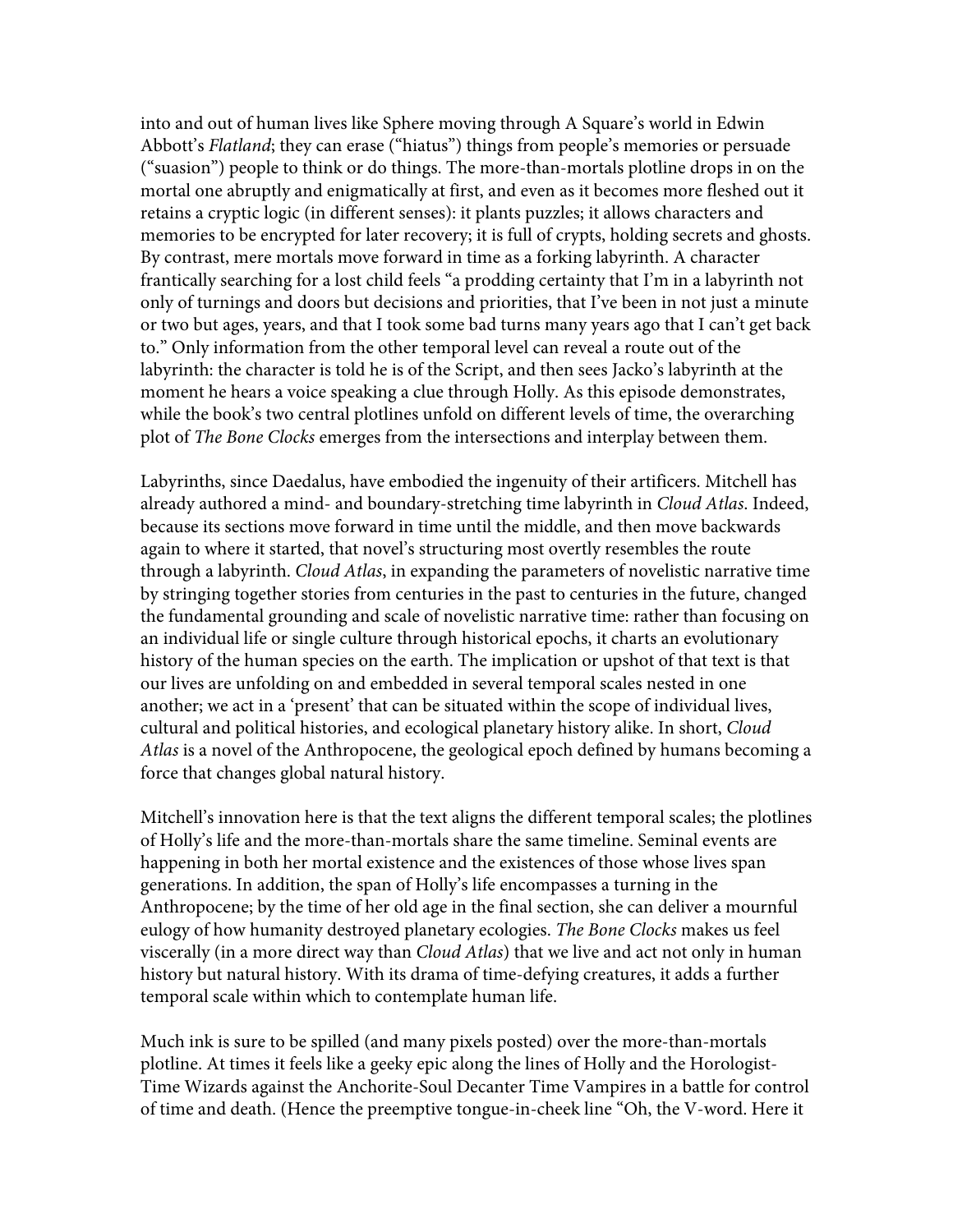into and out of human lives like Sphere moving through A Square's world in Edwin Abbott's *Flatland*; they can erase ("hiatus") things from people's memories or persuade ("suasion") people to think or do things. The more-than-mortals plotline drops in on the mortal one abruptly and enigmatically at first, and even as it becomes more fleshed out it retains a cryptic logic (in different senses): it plants puzzles; it allows characters and memories to be encrypted for later recovery; it is full of crypts, holding secrets and ghosts. By contrast, mere mortals move forward in time as a forking labyrinth. A character frantically searching for a lost child feels "a prodding certainty that I'm in a labyrinth not only of turnings and doors but decisions and priorities, that I've been in not just a minute or two but ages, years, and that I took some bad turns many years ago that I can't get back to." Only information from the other temporal level can reveal a route out of the labyrinth: the character is told he is of the Script, and then sees Jacko's labyrinth at the moment he hears a voice speaking a clue through Holly. As this episode demonstrates, while the book's two central plotlines unfold on different levels of time, the overarching plot of *The Bone Clocks* emerges from the intersections and interplay between them.

Labyrinths, since Daedalus, have embodied the ingenuity of their artificers. Mitchell has already authored a mind- and boundary-stretching time labyrinth in *Cloud Atlas*. Indeed, because its sections move forward in time until the middle, and then move backwards again to where it started, that novel's structuring most overtly resembles the route through a labyrinth. *Cloud Atlas*, in expanding the parameters of novelistic narrative time by stringing together stories from centuries in the past to centuries in the future, changed the fundamental grounding and scale of novelistic narrative time: rather than focusing on an individual life or single culture through historical epochs, it charts an evolutionary history of the human species on the earth. The implication or upshot of that text is that our lives are unfolding on and embedded in several temporal scales nested in one another; we act in a 'present' that can be situated within the scope of individual lives, cultural and political histories, and ecological planetary history alike. In short, *Cloud Atlas* is a novel of the Anthropocene, the geological epoch defined by humans becoming a force that changes global natural history.

Mitchell's innovation here is that the text aligns the different temporal scales; the plotlines of Holly's life and the more-than-mortals share the same timeline. Seminal events are happening in both her mortal existence and the existences of those whose lives span generations. In addition, the span of Holly's life encompasses a turning in the Anthropocene; by the time of her old age in the final section, she can deliver a mournful eulogy of how humanity destroyed planetary ecologies. *The Bone Clocks* makes us feel viscerally (in a more direct way than *Cloud Atlas*) that we live and act not only in human history but natural history. With its drama of time-defying creatures, it adds a further temporal scale within which to contemplate human life.

Much ink is sure to be spilled (and many pixels posted) over the more-than-mortals plotline. At times it feels like a geeky epic along the lines of Holly and the Horologist-Time Wizards against the Anchorite-Soul Decanter Time Vampires in a battle for control of time and death. (Hence the preemptive tongue-in-cheek line "Oh, the V-word. Here it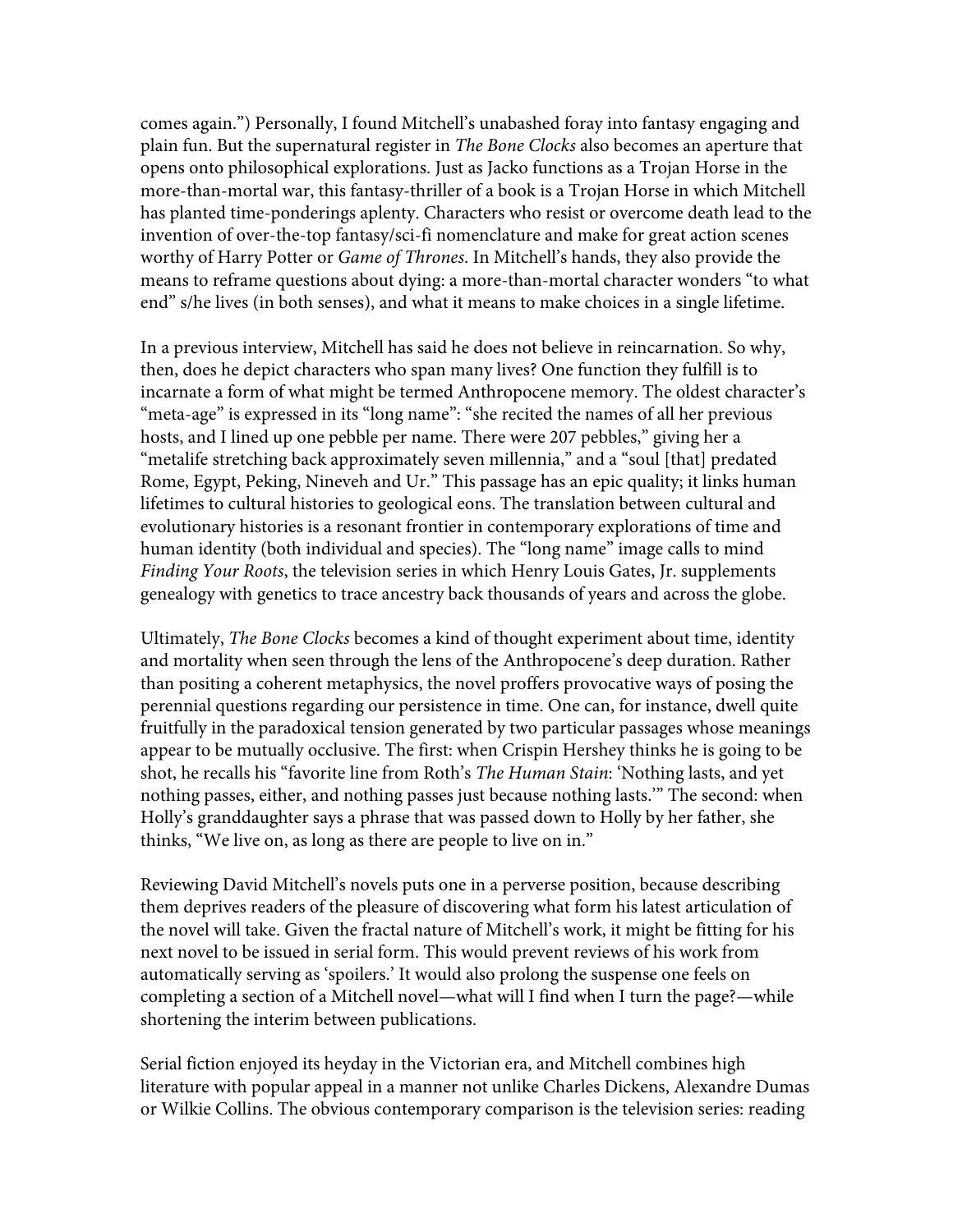comes again.") Personally, I found Mitchell's unabashed foray into fantasy engaging and plain fun. But the supernatural register in *The Bone Clocks* also becomes an aperture that opens onto philosophical explorations. Just as Jacko functions as a Trojan Horse in the more-than-mortal war, this fantasy-thriller of a book is a Trojan Horse in which Mitchell has planted time-ponderings aplenty. Characters who resist or overcome death lead to the invention of over-the-top fantasy/sci-fi nomenclature and make for great action scenes worthy of Harry Potter or *Game of Thrones*. In Mitchell's hands, they also provide the means to reframe questions about dying: a more-than-mortal character wonders "to what end" s/he lives (in both senses), and what it means to make choices in a single lifetime.

In a previous interview, Mitchell has said he does not believe in reincarnation. So why, then, does he depict characters who span many lives? One function they fulfill is to incarnate a form of what might be termed Anthropocene memory. The oldest character's "meta-age" is expressed in its "long name": "she recited the names of all her previous hosts, and I lined up one pebble per name. There were 207 pebbles," giving her a "metalife stretching back approximately seven millennia," and a "soul [that] predated Rome, Egypt, Peking, Nineveh and Ur." This passage has an epic quality; it links human lifetimes to cultural histories to geological eons. The translation between cultural and evolutionary histories is a resonant frontier in contemporary explorations of time and human identity (both individual and species). The "long name" image calls to mind *Finding Your Roots*, the television series in which Henry Louis Gates, Jr. supplements genealogy with genetics to trace ancestry back thousands of years and across the globe.

Ultimately, *The Bone Clocks* becomes a kind of thought experiment about time, identity and mortality when seen through the lens of the Anthropocene's deep duration. Rather than positing a coherent metaphysics, the novel proffers provocative ways of posing the perennial questions regarding our persistence in time. One can, for instance, dwell quite fruitfully in the paradoxical tension generated by two particular passages whose meanings appear to be mutually occlusive. The first: when Crispin Hershey thinks he is going to be shot, he recalls his "favorite line from Roth's *The Human Stain*: 'Nothing lasts, and yet nothing passes, either, and nothing passes just because nothing lasts.'" The second: when Holly's granddaughter says a phrase that was passed down to Holly by her father, she thinks, "We live on, as long as there are people to live on in."

Reviewing David Mitchell's novels puts one in a perverse position, because describing them deprives readers of the pleasure of discovering what form his latest articulation of the novel will take. Given the fractal nature of Mitchell's work, it might be fitting for his next novel to be issued in serial form. This would prevent reviews of his work from automatically serving as 'spoilers.' It would also prolong the suspense one feels on completing a section of a Mitchell novel—what will I find when I turn the page?—while shortening the interim between publications.

Serial fiction enjoyed its heyday in the Victorian era, and Mitchell combines high literature with popular appeal in a manner not unlike Charles Dickens, Alexandre Dumas or Wilkie Collins. The obvious contemporary comparison is the television series: reading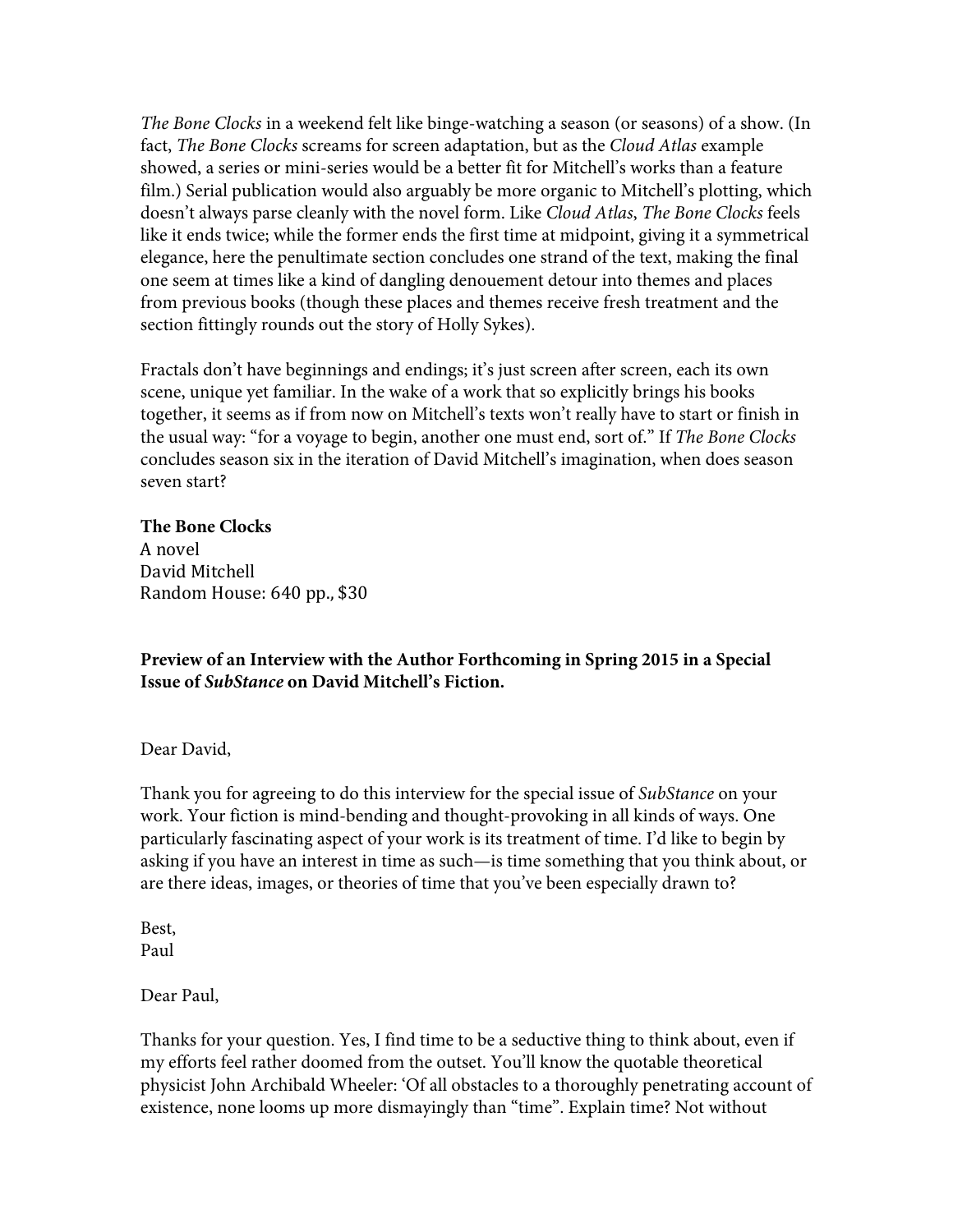*The Bone Clocks* in a weekend felt like binge-watching a season (or seasons) of a show. (In fact, *The Bone Clocks* screams for screen adaptation, but as the *Cloud Atlas* example showed, a series or mini-series would be a better fit for Mitchell's works than a feature film.) Serial publication would also arguably be more organic to Mitchell's plotting, which doesn't always parse cleanly with the novel form. Like *Cloud Atlas*, *The Bone Clocks* feels like it ends twice; while the former ends the first time at midpoint, giving it a symmetrical elegance, here the penultimate section concludes one strand of the text, making the final one seem at times like a kind of dangling denouement detour into themes and places from previous books (though these places and themes receive fresh treatment and the section fittingly rounds out the story of Holly Sykes).

Fractals don't have beginnings and endings; it's just screen after screen, each its own scene, unique yet familiar. In the wake of a work that so explicitly brings his books together, it seems as if from now on Mitchell's texts won't really have to start or finish in the usual way: "for a voyage to begin, another one must end, sort of." If *The Bone Clocks* concludes season six in the iteration of David Mitchell's imagination, when does season seven start?

#### **The Bone Clocks**

A novel David Mitchell Random House: 640 pp., \$30

## **Preview of an Interview with the Author Forthcoming in Spring 2015 in a Special Issue of** *SubStance* **on David Mitchell's Fiction.**

### Dear David,

Thank you for agreeing to do this interview for the special issue of *SubStance* on your work. Your fiction is mind-bending and thought-provoking in all kinds of ways. One particularly fascinating aspect of your work is its treatment of time. I'd like to begin by asking if you have an interest in time as such—is time something that you think about, or are there ideas, images, or theories of time that you've been especially drawn to?

Best, Paul

Dear Paul,

Thanks for your question. Yes, I find time to be a seductive thing to think about, even if my efforts feel rather doomed from the outset. You'll know the quotable theoretical physicist John Archibald Wheeler: 'Of all obstacles to a thoroughly penetrating account of existence, none looms up more dismayingly than "time". Explain time? Not without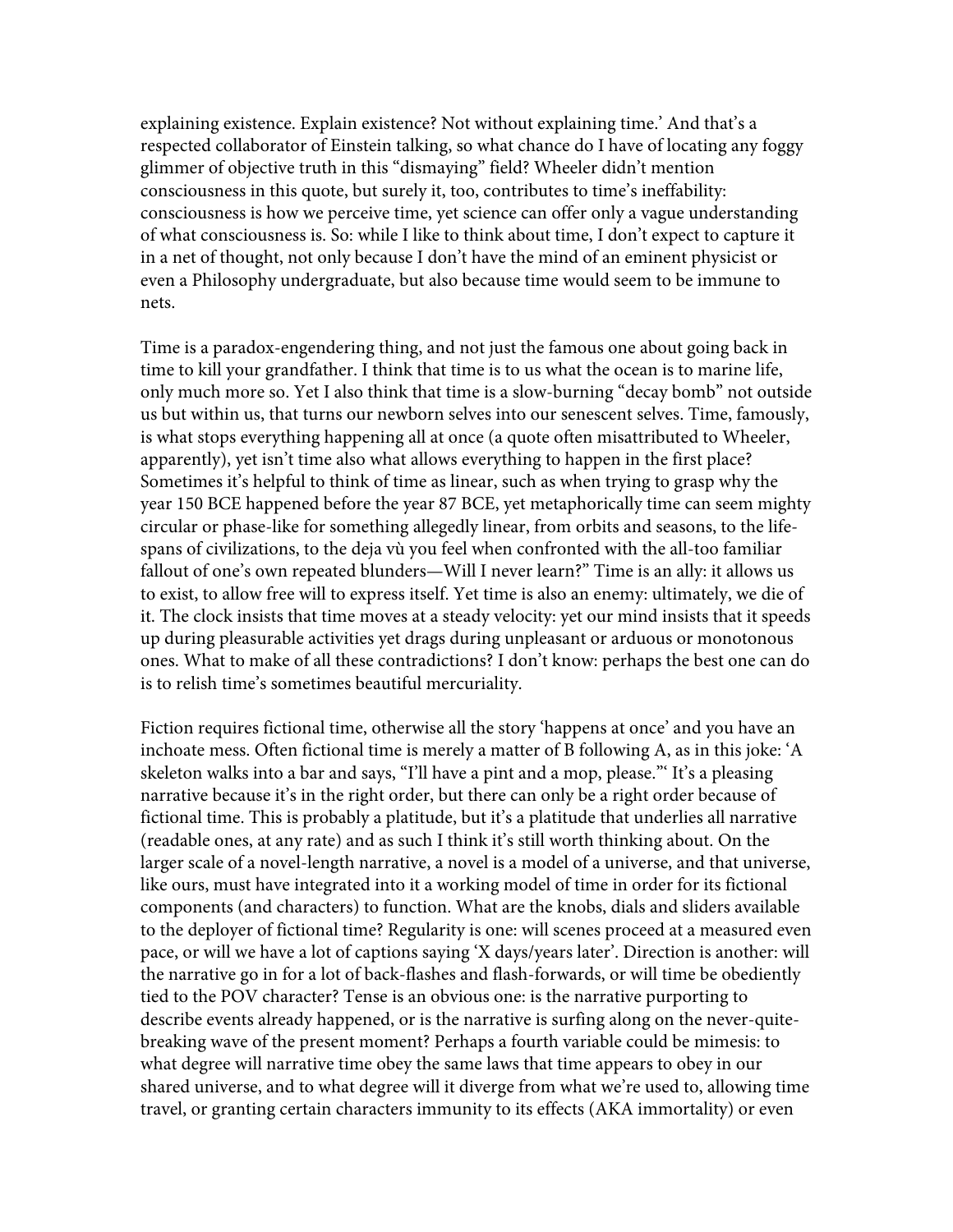explaining existence. Explain existence? Not without explaining time.' And that's a respected collaborator of Einstein talking, so what chance do I have of locating any foggy glimmer of objective truth in this "dismaying" field? Wheeler didn't mention consciousness in this quote, but surely it, too, contributes to time's ineffability: consciousness is how we perceive time, yet science can offer only a vague understanding of what consciousness is. So: while I like to think about time, I don't expect to capture it in a net of thought, not only because I don't have the mind of an eminent physicist or even a Philosophy undergraduate, but also because time would seem to be immune to nets.

Time is a paradox-engendering thing, and not just the famous one about going back in time to kill your grandfather. I think that time is to us what the ocean is to marine life, only much more so. Yet I also think that time is a slow-burning "decay bomb" not outside us but within us, that turns our newborn selves into our senescent selves. Time, famously, is what stops everything happening all at once (a quote often misattributed to Wheeler, apparently), yet isn't time also what allows everything to happen in the first place? Sometimes it's helpful to think of time as linear, such as when trying to grasp why the year 150 BCE happened before the year 87 BCE, yet metaphorically time can seem mighty circular or phase-like for something allegedly linear, from orbits and seasons, to the lifespans of civilizations, to the deja vù you feel when confronted with the all-too familiar fallout of one's own repeated blunders—Will I never learn?" Time is an ally: it allows us to exist, to allow free will to express itself. Yet time is also an enemy: ultimately, we die of it. The clock insists that time moves at a steady velocity: yet our mind insists that it speeds up during pleasurable activities yet drags during unpleasant or arduous or monotonous ones. What to make of all these contradictions? I don't know: perhaps the best one can do is to relish time's sometimes beautiful mercuriality.

Fiction requires fictional time, otherwise all the story 'happens at once' and you have an inchoate mess. Often fictional time is merely a matter of B following A, as in this joke: 'A skeleton walks into a bar and says, "I'll have a pint and a mop, please."' It's a pleasing narrative because it's in the right order, but there can only be a right order because of fictional time. This is probably a platitude, but it's a platitude that underlies all narrative (readable ones, at any rate) and as such I think it's still worth thinking about. On the larger scale of a novel-length narrative, a novel is a model of a universe, and that universe, like ours, must have integrated into it a working model of time in order for its fictional components (and characters) to function. What are the knobs, dials and sliders available to the deployer of fictional time? Regularity is one: will scenes proceed at a measured even pace, or will we have a lot of captions saying 'X days/years later'. Direction is another: will the narrative go in for a lot of back-flashes and flash-forwards, or will time be obediently tied to the POV character? Tense is an obvious one: is the narrative purporting to describe events already happened, or is the narrative is surfing along on the never-quitebreaking wave of the present moment? Perhaps a fourth variable could be mimesis: to what degree will narrative time obey the same laws that time appears to obey in our shared universe, and to what degree will it diverge from what we're used to, allowing time travel, or granting certain characters immunity to its effects (AKA immortality) or even